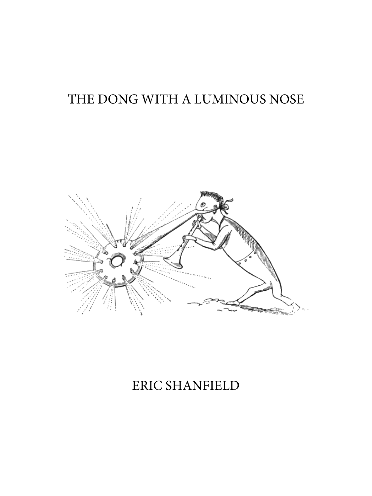

## ERIC SHANFIELD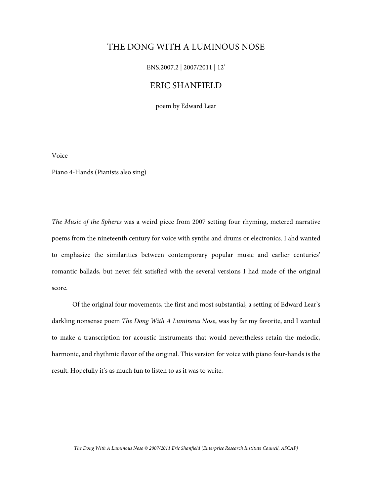ENS.2007.2 | 2007/2011 | 12'

### ERIC SHANFIELD

poem by Edward Lear

Voice

Piano 4-Hands (Pianists also sing)

*The Music of the Spheres* was a weird piece from 2007 setting four rhyming, metered narrative poems from the nineteenth century for voice with synths and drums or electronics. I ahd wanted to emphasize the similarities between contemporary popular music and earlier centuries' romantic ballads, but never felt satisfied with the several versions I had made of the original score.

Of the original four movements, the first and most substantial, a setting of Edward Lear's darkling nonsense poem *The Dong With A Luminous Nose*, was by far my favorite, and I wanted to make a transcription for acoustic instruments that would nevertheless retain the melodic, harmonic, and rhythmic flavor of the original. This version for voice with piano four-hands is the result. Hopefully it's as much fun to listen to as it was to write.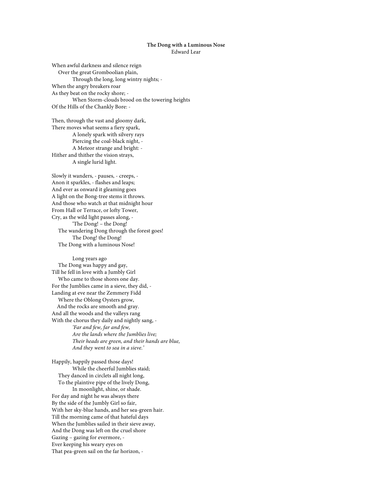#### **The Dong with a Luminous Nose** Edward Lear

When awful darkness and silence reign Over the great Gromboolian plain, Through the long, long wintry nights; - When the angry breakers roar As they beat on the rocky shore; - When Storm-clouds brood on the towering heights Of the Hills of the Chankly Bore: -

Then, through the vast and gloomy dark, There moves what seems a fiery spark, A lonely spark with silvery rays Piercing the coal-black night, - A Meteor strange and bright: - Hither and thither the vision strays, A single lurid light.

Slowly it wanders, - pauses, - creeps, - Anon it sparkles, - flashes and leaps; And ever as onward it gleaming goes A light on the Bong-tree stems it throws. And those who watch at that midnight hour From Hall or Terrace, or lofty Tower, Cry, as the wild light passes along, - 'The Dong! – the Dong! The wandering Dong through the forest goes! The Dong! the Dong! The Dong with a luminous Nose!

Long years ago The Dong was happy and gay, Till he fell in love with a Jumbly Girl Who came to those shores one day. For the Jumblies came in a sieve, they did, - Landing at eve near the Zemmery Fidd Where the Oblong Oysters grow, And the rocks are smooth and gray. And all the woods and the valleys rang With the chorus they daily and nightly sang, - *'Far and few, far and few, Are the lands where the Jumblies live; Their heads are green, and their hands are blue, And they went to sea in a sieve.'*

Happily, happily passed those days! While the cheerful Jumblies staid; They danced in circlets all night long, To the plaintive pipe of the lively Dong, In moonlight, shine, or shade. For day and night he was always there By the side of the Jumbly Girl so fair, With her sky-blue hands, and her sea-green hair. Till the morning came of that hateful days When the Jumblies sailed in their sieve away, And the Dong was left on the cruel shore Gazing – gazing for evermore, - Ever keeping his weary eyes on That pea-green sail on the far horizon, -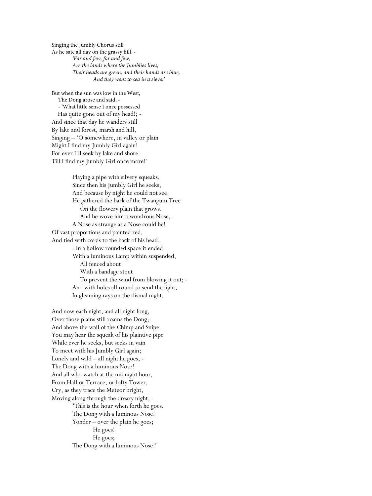Singing the Jumbly Chorus still As he sate all day on the grassy hill, - *'Far and few, far and few, Are the lands where the Jumblies lives; Their heads are green, and their hands are blue, And they went to sea in a sieve.'*

But when the sun was low in the West, The Dong arose and said; - - 'What little sense I once possessed Has quite gone out of my head!; - And since that day he wanders still By lake and forest, marsh and hill, Singing – 'O somewhere, in valley or plain Might I find my Jumbly Girl again! For ever I'll seek by lake and shore Till I find my Jumbly Girl once more!'

Playing a pipe with silvery squeaks, Since then his Jumbly Girl he seeks, And because by night he could not see, He gathered the bark of the Twangum Tree On the flowery plain that grows. And he wove him a wondrous Nose, - A Nose as strange as a Nose could be! Of vast proportions and painted red, And tied with cords to the back of his head. - In a hollow rounded space it ended With a luminous Lamp within suspended, All fenced about With a bandage stout To prevent the wind from blowing it out; - And with holes all round to send the light, In gleaming rays on the dismal night.

And now each night, and all night long, Over those plains still roams the Dong; And above the wail of the Chimp and Snipe You may hear the squeak of his plaintive pipe While ever he seeks, but seeks in vain To meet with his Jumbly Girl again; Lonely and wild – all night he goes, - The Dong with a luminous Nose! And all who watch at the midnight hour, From Hall or Terrace, or lofty Tower, Cry, as they trace the Meteor bright, Moving along through the dreary night, - 'This is the hour when forth he goes, The Dong with a luminous Nose! Yonder – over the plain he goes; He goes! He goes; The Dong with a luminous Nose!'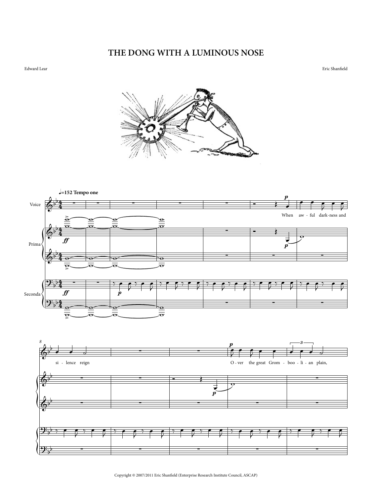# Edward Lear **THE DONG WITH <sup>A</sup> LUMINOUS NOSE**

Eric Shanfield





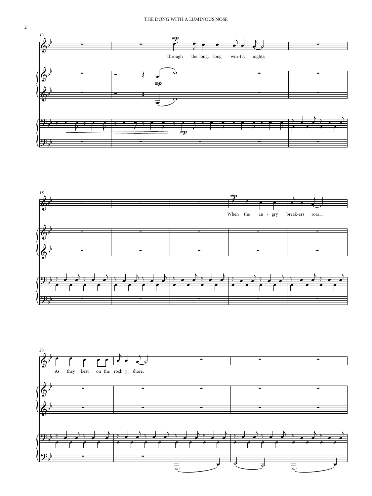



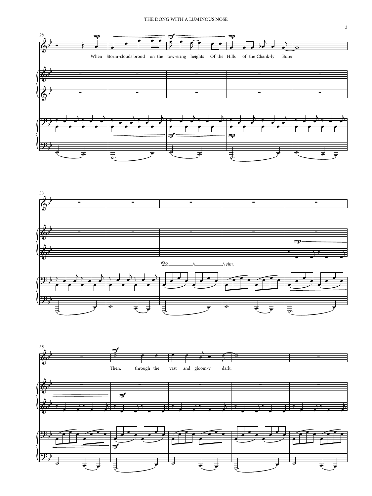



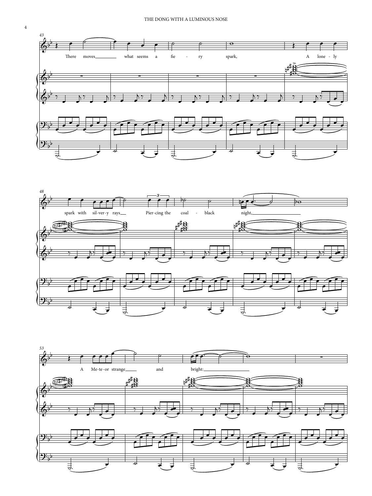



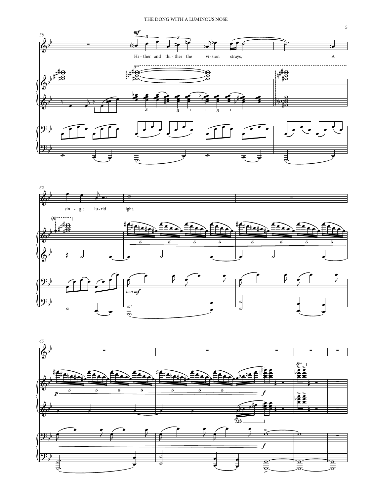





 $\overline{5}$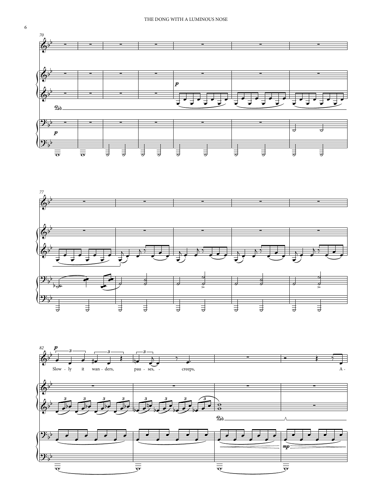



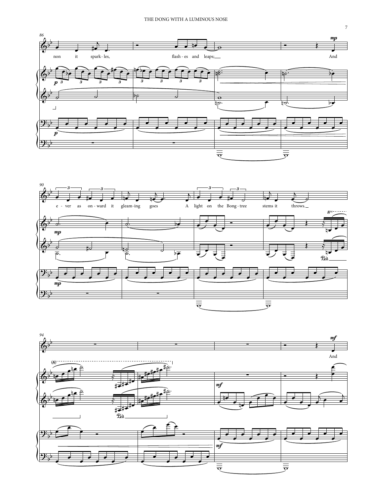



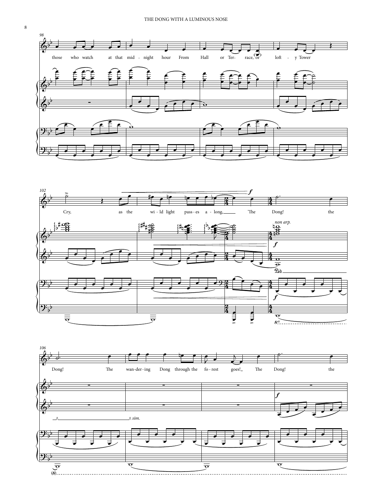



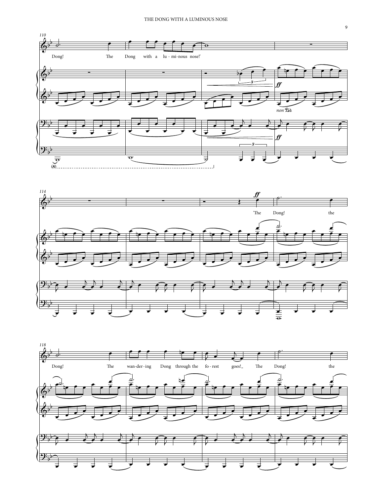



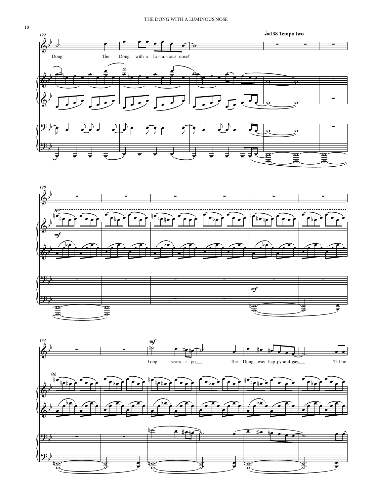





 $10\,$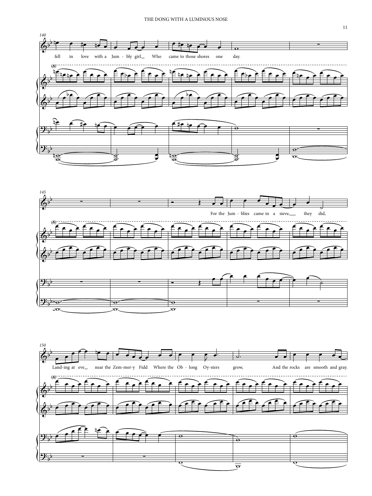



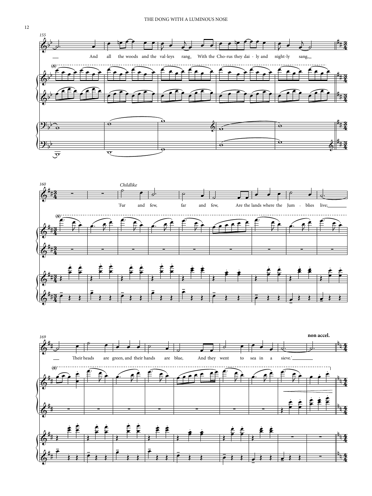



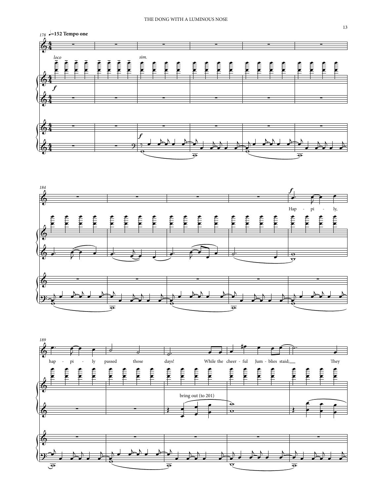



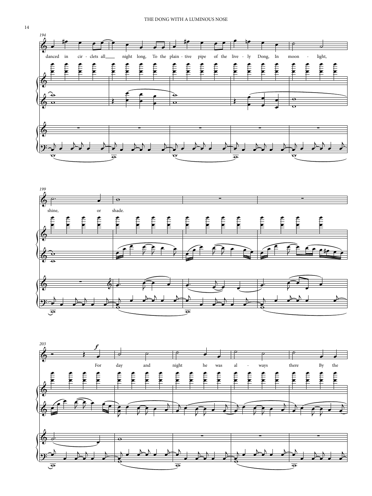



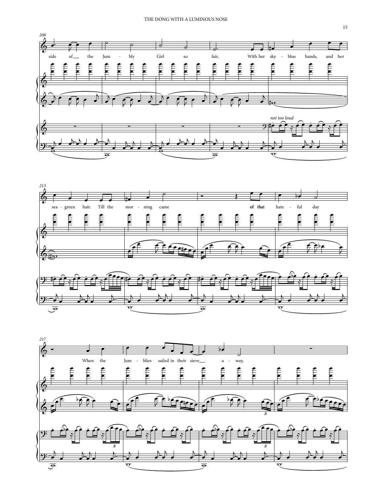



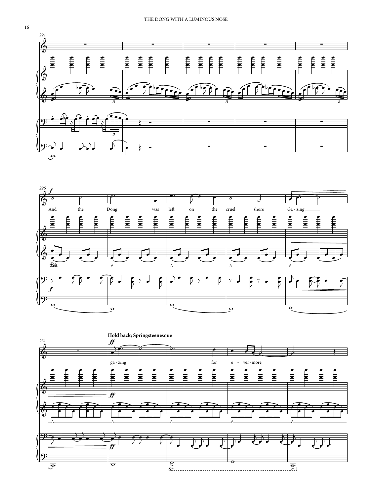



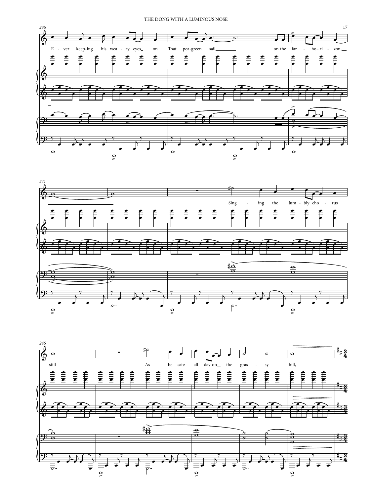



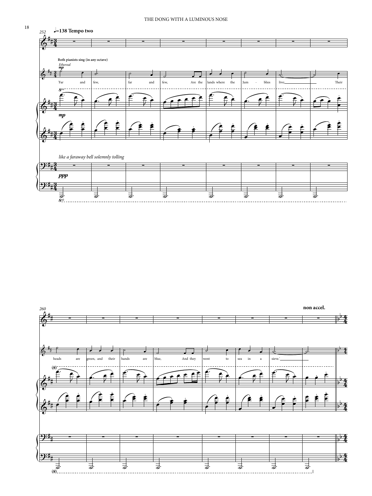

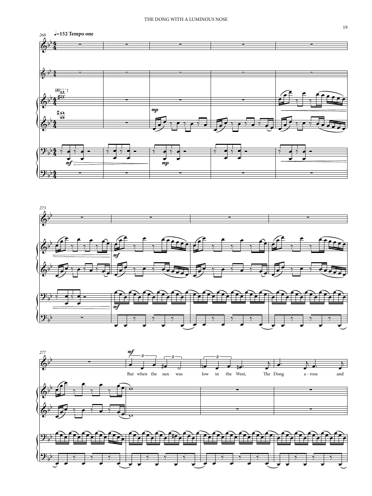



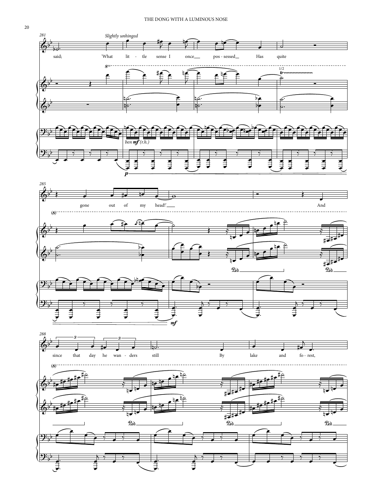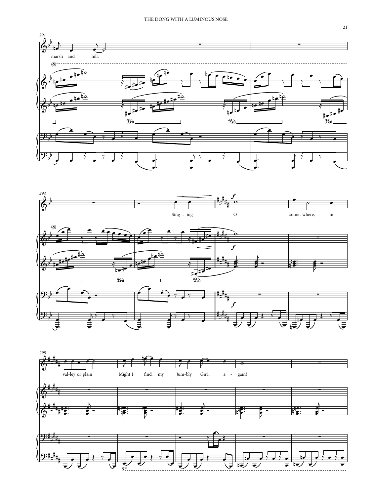



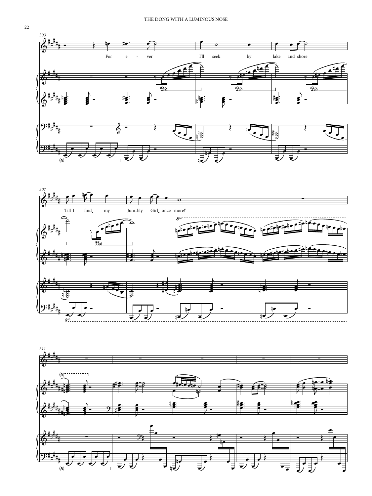





 $22\,$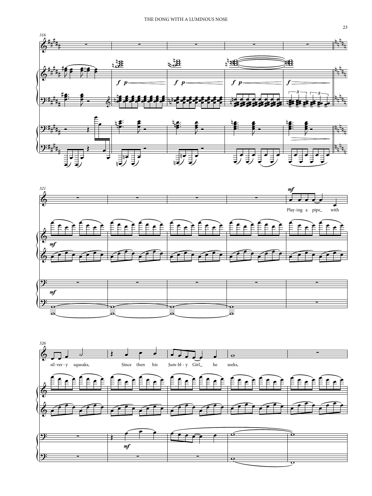



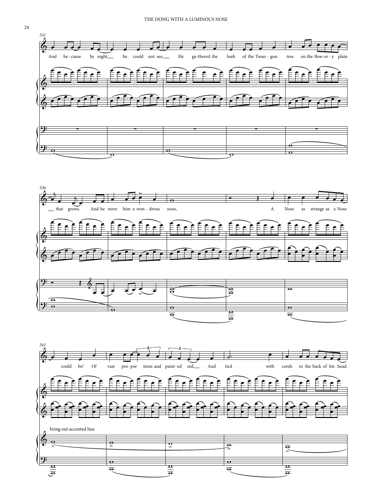



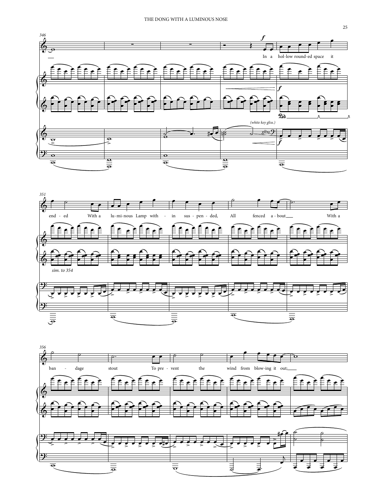



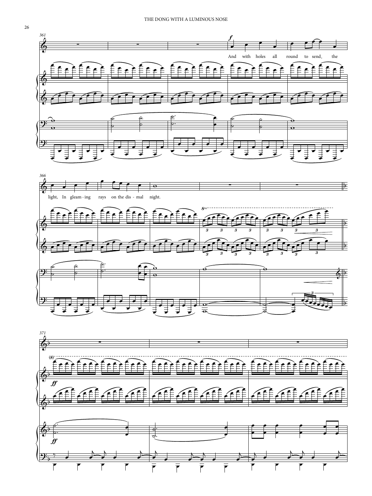



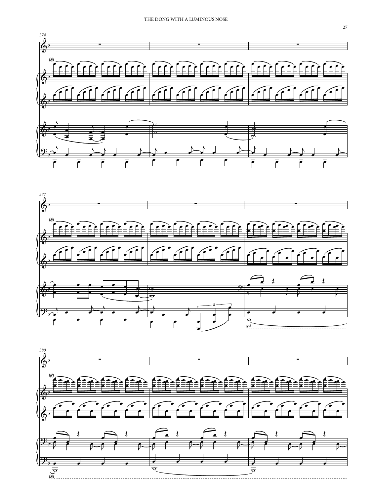



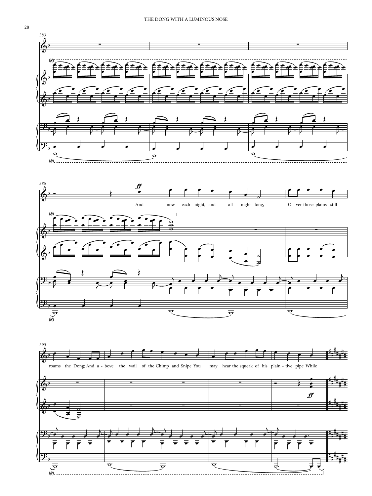



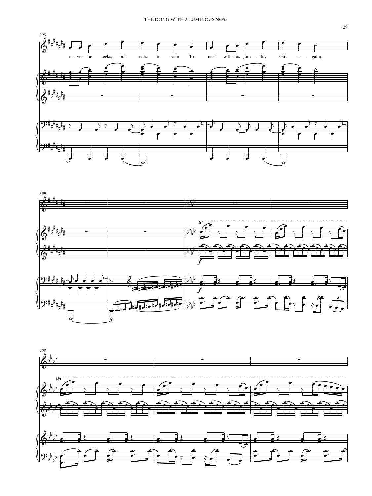



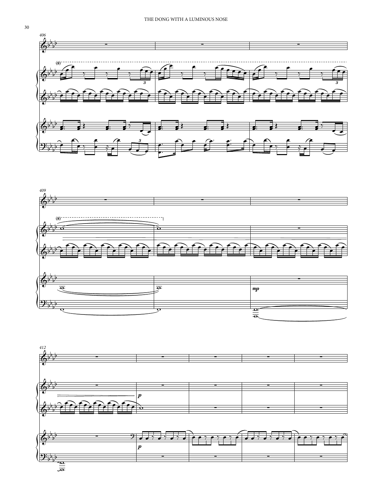



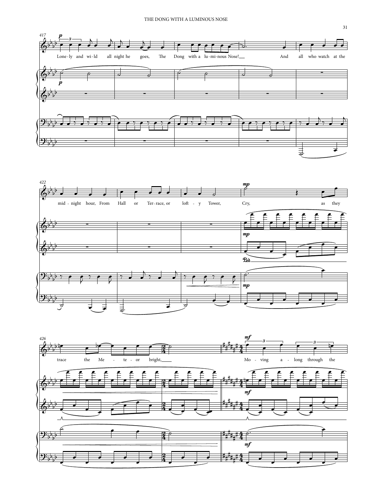



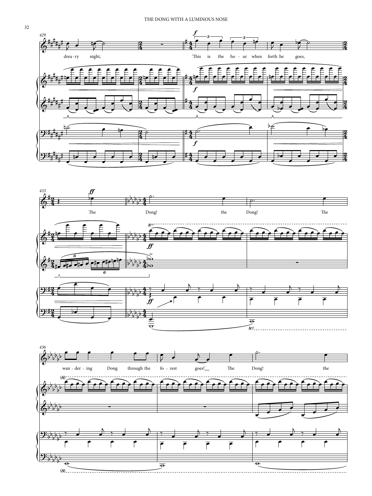



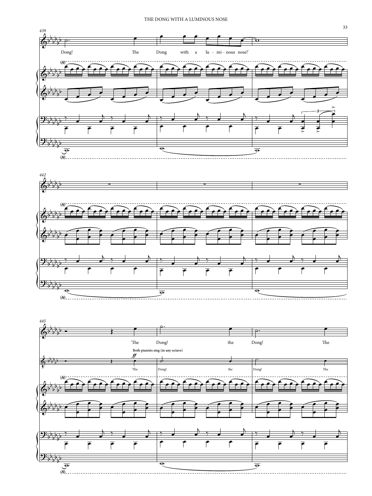